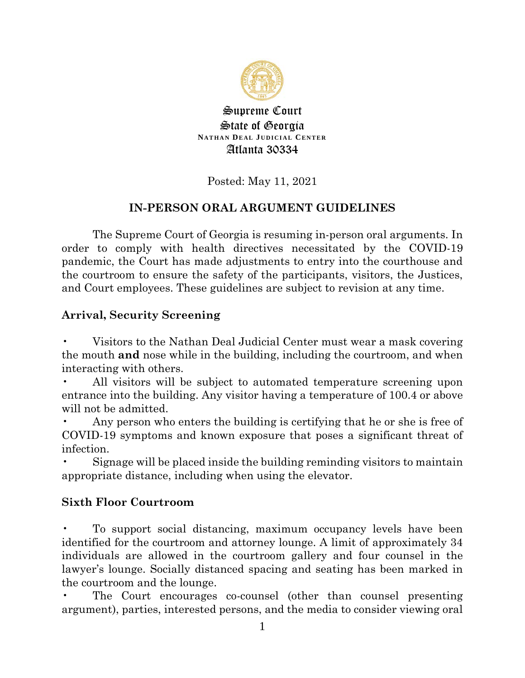

Supreme Court **State of Georgia NATHAN DEAL JUDICIAL CENTER** Atlanta 30334

### Posted: May 11, 2021

## **IN-PERSON ORAL ARGUMENT GUIDELINES**

The Supreme Court of Georgia is resuming in-person oral arguments. In order to comply with health directives necessitated by the COVID-19 pandemic, the Court has made adjustments to entry into the courthouse and the courtroom to ensure the safety of the participants, visitors, the Justices, and Court employees. These guidelines are subject to revision at any time.

### **Arrival, Security Screening**

• Visitors to the Nathan Deal Judicial Center must wear a mask covering the mouth **and** nose while in the building, including the courtroom, and when interacting with others.

All visitors will be subject to automated temperature screening upon entrance into the building. Any visitor having a temperature of 100.4 or above will not be admitted.

Any person who enters the building is certifying that he or she is free of COVID-19 symptoms and known exposure that poses a significant threat of infection.

• Signage will be placed inside the building reminding visitors to maintain appropriate distance, including when using the elevator.

### **Sixth Floor Courtroom**

• To support social distancing, maximum occupancy levels have been identified for the courtroom and attorney lounge. A limit of approximately 34 individuals are allowed in the courtroom gallery and four counsel in the lawyer's lounge. Socially distanced spacing and seating has been marked in the courtroom and the lounge.

The Court encourages co-counsel (other than counsel presenting argument), parties, interested persons, and the media to consider viewing oral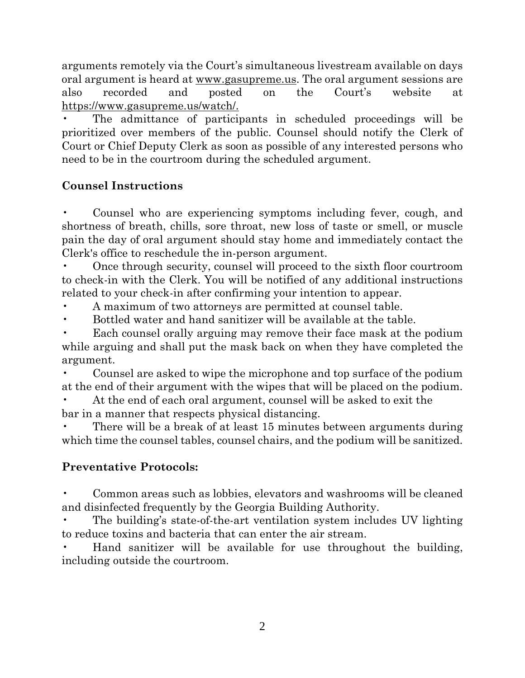arguments remotely via the Court's simultaneous livestream available on days oral argument is heard at www.gasupreme.us. The oral argument sessions are also recorded and posted on the Court's website at https://www.gasupreme.us/watch/.

The admittance of participants in scheduled proceedings will be prioritized over members of the public. Counsel should notify the Clerk of Court or Chief Deputy Clerk as soon as possible of any interested persons who need to be in the courtroom during the scheduled argument.

#### **Counsel Instructions**

• Counsel who are experiencing symptoms including fever, cough, and shortness of breath, chills, sore throat, new loss of taste or smell, or muscle pain the day of oral argument should stay home and immediately contact the Clerk's office to reschedule the in-person argument.

• Once through security, counsel will proceed to the sixth floor courtroom to check-in with the Clerk. You will be notified of any additional instructions related to your check-in after confirming your intention to appear.

• A maximum of two attorneys are permitted at counsel table.

• Bottled water and hand sanitizer will be available at the table.

• Each counsel orally arguing may remove their face mask at the podium while arguing and shall put the mask back on when they have completed the argument.

• Counsel are asked to wipe the microphone and top surface of the podium at the end of their argument with the wipes that will be placed on the podium.

• At the end of each oral argument, counsel will be asked to exit the bar in a manner that respects physical distancing.

There will be a break of at least 15 minutes between arguments during which time the counsel tables, counsel chairs, and the podium will be sanitized.

### **Preventative Protocols:**

• Common areas such as lobbies, elevators and washrooms will be cleaned and disinfected frequently by the Georgia Building Authority.

• The building's state-of-the-art ventilation system includes UV lighting to reduce toxins and bacteria that can enter the air stream.

• Hand sanitizer will be available for use throughout the building, including outside the courtroom.